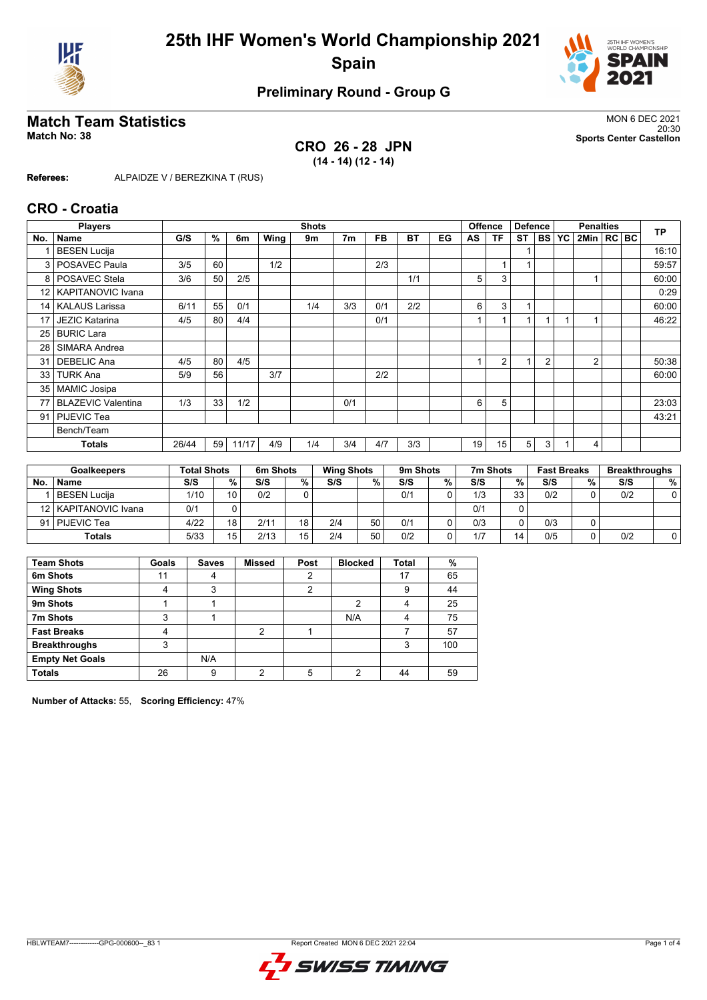



### **Preliminary Round - Group G**

#### **Match Team Statistics** MON 6 DEC 2021

**CRO 26 - 28 JPN (14 - 14) (12 - 14)**

20:30 **Match No: 38 Sports Center Castellon**

**Referees:** ALPAIDZE V / BEREZKINA T (RUS)

#### **CRO - Croatia**

|                 | <b>Players</b>            | <b>Offence</b><br><b>Defence</b><br><b>Shots</b><br><b>Penalties</b> |    |       | <b>TP</b> |     |     |           |     |    |    |                |    |                |    |                  |  |       |
|-----------------|---------------------------|----------------------------------------------------------------------|----|-------|-----------|-----|-----|-----------|-----|----|----|----------------|----|----------------|----|------------------|--|-------|
| No.             | <b>Name</b>               | G/S                                                                  | %  | 6m    | Wing      | 9m  | 7m  | <b>FB</b> | BT  | EG | AS | ΤF             | ST | <b>BS</b>      | YC | $2$ Min $ RC BC$ |  |       |
|                 | <b>BESEN Lucija</b>       |                                                                      |    |       |           |     |     |           |     |    |    |                |    |                |    |                  |  | 16:10 |
|                 | 3   POSAVEC Paula         | 3/5                                                                  | 60 |       | 1/2       |     |     | 2/3       |     |    |    |                |    |                |    |                  |  | 59:57 |
|                 | 8   POSAVEC Stela         | 3/6                                                                  | 50 | 2/5   |           |     |     |           | 1/1 |    | 5  | 3              |    |                |    |                  |  | 60:00 |
| 12 <sub>1</sub> | <b>KAPITANOVIC Ivana</b>  |                                                                      |    |       |           |     |     |           |     |    |    |                |    |                |    |                  |  | 0:29  |
| 14              | <b>KALAUS Larissa</b>     | 6/11                                                                 | 55 | 0/1   |           | 1/4 | 3/3 | 0/1       | 2/2 |    | 6  | 3              | 1  |                |    |                  |  | 60:00 |
| 17 <sub>1</sub> | <b>JEZIC Katarina</b>     | 4/5                                                                  | 80 | 4/4   |           |     |     | 0/1       |     |    |    |                |    |                |    |                  |  | 46:22 |
|                 | 25 BURIC Lara             |                                                                      |    |       |           |     |     |           |     |    |    |                |    |                |    |                  |  |       |
| 28              | SIMARA Andrea             |                                                                      |    |       |           |     |     |           |     |    |    |                |    |                |    |                  |  |       |
| 31              | <b>DEBELIC Ana</b>        | 4/5                                                                  | 80 | 4/5   |           |     |     |           |     |    | 1  | $\overline{2}$ |    | $\overline{2}$ |    | 2                |  | 50:38 |
| 33              | <b>TURK Ana</b>           | 5/9                                                                  | 56 |       | 3/7       |     |     | 2/2       |     |    |    |                |    |                |    |                  |  | 60:00 |
| 35 <sub>1</sub> | <b>MAMIC Josipa</b>       |                                                                      |    |       |           |     |     |           |     |    |    |                |    |                |    |                  |  |       |
| 77              | <b>BLAZEVIC Valentina</b> | 1/3                                                                  | 33 | 1/2   |           |     | 0/1 |           |     |    | 6  | 5              |    |                |    |                  |  | 23:03 |
|                 | 91   PIJEVIC Tea          |                                                                      |    |       |           |     |     |           |     |    |    |                |    |                |    |                  |  | 43:21 |
|                 | Bench/Team                |                                                                      |    |       |           |     |     |           |     |    |    |                |    |                |    |                  |  |       |
|                 | <b>Totals</b>             | 26/44                                                                | 59 | 11/17 | 4/9       | 1/4 | 3/4 | 4/7       | 3/3 |    | 19 | 15             | 5  | 3              |    | 4                |  |       |

| <b>Goalkeepers</b> |                        | <b>Total Shots</b> |    | 6m Shots |        | <b>Wing Shots</b> |    | 9m Shots |   | 7m Shots |    | <b>Fast Breaks</b> |   | <b>Breakthroughs</b> |      |
|--------------------|------------------------|--------------------|----|----------|--------|-------------------|----|----------|---|----------|----|--------------------|---|----------------------|------|
| No                 | <b>Name</b>            | S/S                | %. | S/S      | $\%$ . | S/S               | %  | S/S      | % | S/S      | %  | S/S                | % | S/S                  | $\%$ |
|                    | BESEN Lucija           | 1/10               | 10 | 0/2      |        |                   |    | 0/1      |   | 1/3      | 33 | 0/2                |   | 0/2                  |      |
|                    | 12   KAPITANOVIC Ivana | 0/1                |    |          |        |                   |    |          |   | 0/1      |    |                    |   |                      |      |
|                    | 91   PIJEVIC Tea       | 4/22               | 18 | 2/11     | 18     | 2/4               | 50 | 0/1      |   | 0/3      |    | 0/3                |   |                      |      |
|                    | <b>Totals</b>          | 5/33               | 15 | 2/13     | 15     | 2/4               | 50 | 0/2      |   | 1/7      | 14 | 0/5                |   | 0/2                  |      |

| <b>Team Shots</b>      | Goals | <b>Saves</b> | <b>Missed</b> | Post | <b>Blocked</b> | <b>Total</b> | %   |
|------------------------|-------|--------------|---------------|------|----------------|--------------|-----|
| 6m Shots               | 11    |              |               |      |                | 17           | 65  |
| <b>Wing Shots</b>      |       | 3            |               | າ    |                | 9            | 44  |
| 9m Shots               |       |              |               |      | ◠              |              | 25  |
| 7m Shots               | 3     |              |               |      | N/A            | 4            | 75  |
| <b>Fast Breaks</b>     | 4     |              | っ             |      |                |              | 57  |
| <b>Breakthroughs</b>   | 3     |              |               |      |                | 3            | 100 |
| <b>Empty Net Goals</b> |       | N/A          |               |      |                |              |     |
| <b>Totals</b>          | 26    | 9            | າ             | 5    | 2              | 44           | 59  |

**Number of Attacks:** 55, **Scoring Efficiency:** 47%

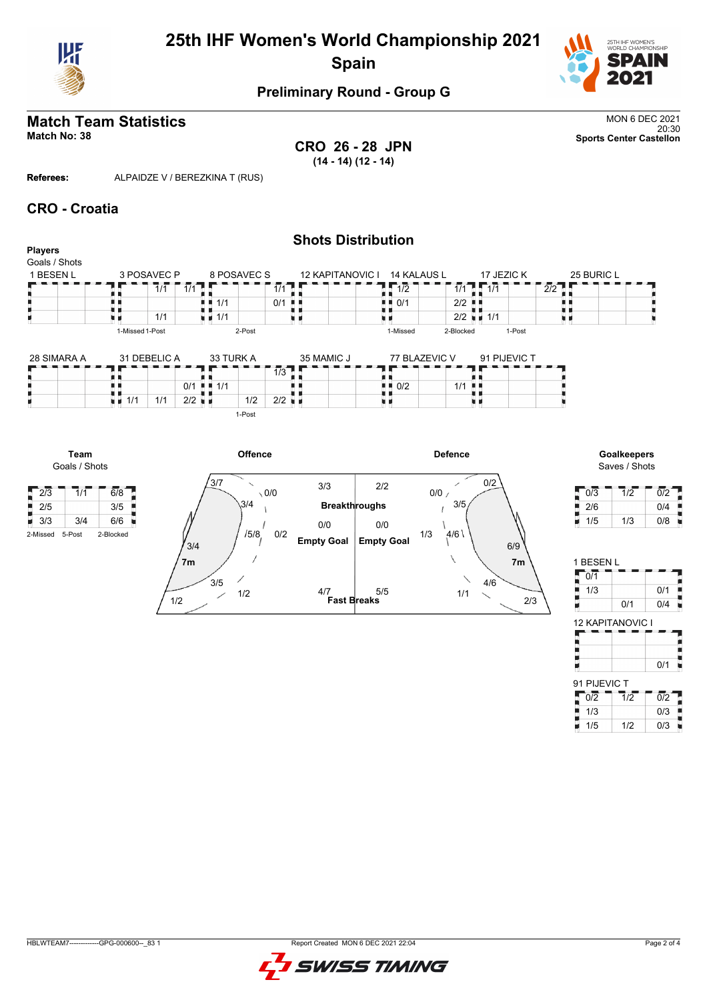

# **25th IHF Women's World Championship 2021 Spain**



### **Preliminary Round - Group G**

# **Match Team Statistics** MON 6 DEC 2021

20:30 **Match No: 38 Sports Center Castellon CRO 26 - 28 JPN (14 - 14) (12 - 14)**

**Referees:** ALPAIDZE V / BEREZKINA T (RUS)

#### **CRO - Croatia**

**Team** Goals / Shots

| <b>Players</b><br>Goals / Shots |                 |                                          | <b>SHOLS DISTRIBUTION</b> |                                          |                                   |                  |
|---------------------------------|-----------------|------------------------------------------|---------------------------|------------------------------------------|-----------------------------------|------------------|
| 1 BESEN L                       | 3 POSAVEC P     | 8 POSAVEC S                              | 12 KAPITANOVIC I          | 14 KALAUS L                              | 17 JEZIC K                        | 25 BURIC L       |
|                                 | 1/1             | 1/1<br>$1/1$ $\Box$                      |                           | $\overline{11/2}$                        | $\frac{1}{1/1}$ 1 $\frac{1}{1/1}$ | $\overline{2}/2$ |
|                                 |                 | $\blacksquare$ $\blacksquare$ 1/1<br>0/1 |                           | $\blacksquare$ $\blacksquare$ 0/1<br>2/2 |                                   |                  |
|                                 | 1/1             | $\blacksquare$ 1/1                       |                           |                                          | $2/2$ $\blacksquare$ 1/1          |                  |
|                                 | 1-Missed 1-Post | 2-Post                                   |                           | 1-Missed<br>2-Blocked                    | 1-Post                            |                  |
| 28 SIMARA A                     | 31 DEBELIC A    | 33 TURK A                                | 35 MAMIC J                | 77 BLAZEVIC V                            | 91 PIJEVIC T                      |                  |

| <b>ZU JINANA A</b><br>-- |      |     | <b>JI DEDELIU A</b> |     |     | 3310 |        |            | <b>UULININII UU</b> | II DLAZEVIU V                     |     | <b>SI LIJE AIO I</b> |  |
|--------------------------|------|-----|---------------------|-----|-----|------|--------|------------|---------------------|-----------------------------------|-----|----------------------|--|
|                          |      |     |                     |     |     |      |        | 112<br>170 |                     |                                   |     |                      |  |
|                          |      |     |                     | 0/1 | . . | 1/1  |        |            |                     | $\blacksquare$ $\blacksquare$ 0/2 | 1/1 |                      |  |
|                          | u 11 | 1/1 | 1/1                 | 2/2 | ш.  |      | 1/2    | 2/2        |                     |                                   |     |                      |  |
|                          |      |     |                     |     |     |      | 1-Post |            |                     |                                   |     |                      |  |



| 0/3 | 1/2 | 012 |
|-----|-----|-----|
| 2/6 |     | 0/4 |
| 1/5 | 1/3 | 0/8 |

| 1 BESEN L |     |     |
|-----------|-----|-----|
| 0/1       |     |     |
| 1/3       |     | 0/1 |
|           | 0/1 | 0/4 |

| <b>12 KAPITANOVIC I</b> |     |
|-------------------------|-----|
|                         |     |
|                         |     |
|                         | 0/1 |
| 91 PIJEVIC T            |     |
|                         |     |

| 0/2 | 1/2 | 012 |
|-----|-----|-----|
| 1/3 |     | 0/3 |
| 1/5 | 1/2 | 0/3 |

# **Shots Distribution**

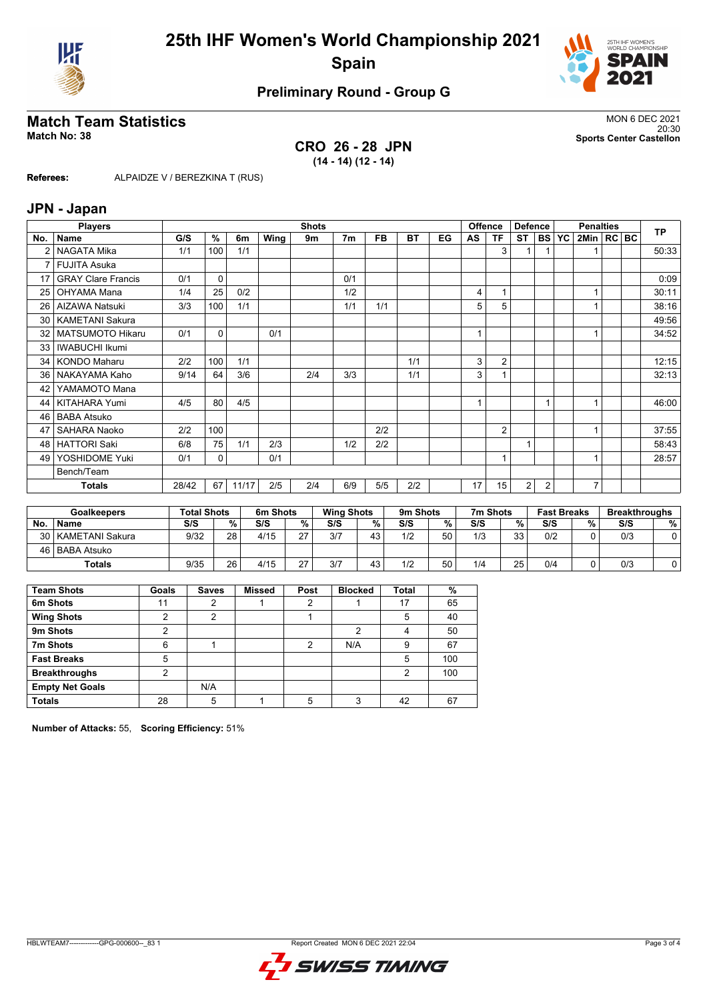



#### **Preliminary Round - Group G**

#### **Match Team Statistics** MON 6 DEC 2021

**CRO 26 - 28 JPN (14 - 14) (12 - 14)**

20:30 **Match No: 38 Sports Center Castellon**

**Referees:** ALPAIDZE V / BEREZKINA T (RUS)

#### **JPN - Japan**

|                 | <b>Players</b>            |       |               |       |      | <b>Shots</b> |                |           |     |    |    | <b>Offence</b><br><b>Defence</b> |                |                | <b>Penalties</b> |                |  |  | <b>TP</b> |
|-----------------|---------------------------|-------|---------------|-------|------|--------------|----------------|-----------|-----|----|----|----------------------------------|----------------|----------------|------------------|----------------|--|--|-----------|
| No.             | <b>Name</b>               | G/S   | $\frac{9}{6}$ | 6m    | Wing | 9m           | 7 <sub>m</sub> | <b>FB</b> | BT  | EG | AS | TF                               | <b>ST</b>      |                | <b>BS YC</b>     | 2Min   RC BC   |  |  |           |
|                 | NAGATA Mika               | 1/1   | 100           | 1/1   |      |              |                |           |     |    |    | 3                                |                |                |                  |                |  |  | 50:33     |
| 7               | <b>FUJITA Asuka</b>       |       |               |       |      |              |                |           |     |    |    |                                  |                |                |                  |                |  |  |           |
| 17              | <b>GRAY Clare Francis</b> | 0/1   | $\mathbf 0$   |       |      |              | 0/1            |           |     |    |    |                                  |                |                |                  |                |  |  | 0:09      |
| 25              | OHYAMA Mana               | 1/4   | 25            | 0/2   |      |              | 1/2            |           |     |    | 4  |                                  |                |                |                  |                |  |  | 30:11     |
| 26              | <b>AIZAWA Natsuki</b>     | 3/3   | 100           | 1/1   |      |              | 1/1            | 1/1       |     |    | 5  | 5                                |                |                |                  |                |  |  | 38:16     |
| 30 <sub>1</sub> | <b>KAMETANI Sakura</b>    |       |               |       |      |              |                |           |     |    |    |                                  |                |                |                  |                |  |  | 49:56     |
| 32 <sub>1</sub> | <b>MATSUMOTO Hikaru</b>   | 0/1   | $\Omega$      |       | 0/1  |              |                |           |     |    |    |                                  |                |                |                  |                |  |  | 34:52     |
| 33              | <b>IWABUCHI Ikumi</b>     |       |               |       |      |              |                |           |     |    |    |                                  |                |                |                  |                |  |  |           |
| 34 <sup>1</sup> | <b>KONDO Maharu</b>       | 2/2   | 100           | 1/1   |      |              |                |           | 1/1 |    | 3  | $\overline{2}$                   |                |                |                  |                |  |  | 12:15     |
| 36              | NAKAYAMA Kaho             | 9/14  | 64            | 3/6   |      | 2/4          | 3/3            |           | 1/1 |    | 3  |                                  |                |                |                  |                |  |  | 32:13     |
| 42              | YAMAMOTO Mana             |       |               |       |      |              |                |           |     |    |    |                                  |                |                |                  |                |  |  |           |
| 44              | KITAHARA Yumi             | 4/5   | 80            | 4/5   |      |              |                |           |     |    |    |                                  |                |                |                  |                |  |  | 46:00     |
| 46              | <b>BABA Atsuko</b>        |       |               |       |      |              |                |           |     |    |    |                                  |                |                |                  |                |  |  |           |
| 47              | SAHARA Naoko              | 2/2   | 100           |       |      |              |                | 2/2       |     |    |    | $\overline{2}$                   |                |                |                  |                |  |  | 37:55     |
| 48              | <b>HATTORI Saki</b>       | 6/8   | 75            | 1/1   | 2/3  |              | 1/2            | 2/2       |     |    |    |                                  | $\overline{ }$ |                |                  |                |  |  | 58:43     |
| 49              | YOSHIDOME Yuki            | 0/1   | 0             |       | 0/1  |              |                |           |     |    |    |                                  |                |                |                  |                |  |  | 28:57     |
|                 | Bench/Team                |       |               |       |      |              |                |           |     |    |    |                                  |                |                |                  |                |  |  |           |
|                 | <b>Totals</b>             | 28/42 | 67            | 11/17 | 2/5  | 2/4          | 6/9            | 5/5       | 2/2 |    | 17 | 15                               | 2              | $\overline{2}$ |                  | $\overline{7}$ |  |  |           |

|           | <b>Goalkeepers</b>   | <b>Total Shots</b> |    | 6m Shots |    | <b>Wing Shots</b> |    | 9m Shots |    | 7m Shots |    | <b>Fast Breaks</b> |   | <b>Breakthroughs</b> |   |
|-----------|----------------------|--------------------|----|----------|----|-------------------|----|----------|----|----------|----|--------------------|---|----------------------|---|
| <b>No</b> | <b>Name</b>          | S/S                | %  | S/S      | %  | S/S               | %  | S/S      | %  | S/S      | %  | S/S                | % | S/S                  | % |
|           | 30   KAMETANI Sakura | 9/32               | 28 | 4/15     | ^7 | 3/7               | 43 | 1/2      | 50 | 1/3      | 33 | 0/2                |   | 0/3                  |   |
|           | 46   BABA Atsuko     |                    |    |          |    |                   |    |          |    |          |    |                    |   |                      |   |
|           | Totals               | 9/35               | 26 | 4/15     | 27 | 3/7               | 43 | 1/2      | 50 | 1/4      | 25 | 0/4                |   | 0/3                  |   |

| <b>Team Shots</b>      | Goals          | <b>Saves</b> | <b>Missed</b> | Post | <b>Blocked</b> | <b>Total</b>   | %   |
|------------------------|----------------|--------------|---------------|------|----------------|----------------|-----|
| 6m Shots               | 11             | 2            |               | 2    |                | 17             | 65  |
| <b>Wing Shots</b>      | 2              | 2            |               |      |                | 5              | 40  |
| 9m Shots               | າ              |              |               |      | 2              | 4              | 50  |
| 7m Shots               | 6              |              |               | 2    | N/A            | 9              | 67  |
| <b>Fast Breaks</b>     | 5              |              |               |      |                | 5              | 100 |
| <b>Breakthroughs</b>   | $\overline{2}$ |              |               |      |                | $\overline{2}$ | 100 |
| <b>Empty Net Goals</b> |                | N/A          |               |      |                |                |     |
| <b>Totals</b>          | 28             | 5            |               | 5    | 3              | 42             | 67  |

**Number of Attacks:** 55, **Scoring Efficiency:** 51%